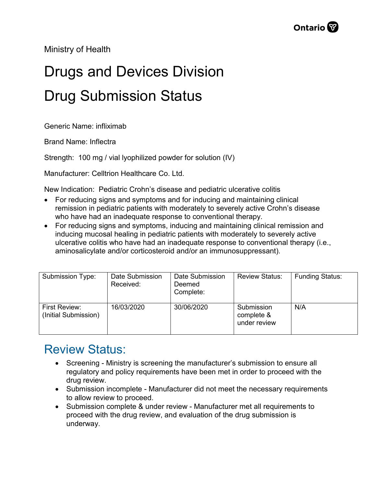Ministry of Health

## Drugs and Devices Division Drug Submission Status

Generic Name: infliximab

Brand Name: Inflectra

Strength: 100 mg / vial lyophilized powder for solution (IV)

Manufacturer: Celltrion Healthcare Co. Ltd.

New Indication: Pediatric Crohn's disease and pediatric ulcerative colitis

- For reducing signs and symptoms and for inducing and maintaining clinical remission in pediatric patients with moderately to severely active Crohn's disease who have had an inadequate response to conventional therapy.
- For reducing signs and symptoms, inducing and maintaining clinical remission and inducing mucosal healing in pediatric patients with moderately to severely active ulcerative colitis who have had an inadequate response to conventional therapy (i.e., aminosalicylate and/or corticosteroid and/or an immunosuppressant).

| Submission Type:                      | Date Submission<br>Received: | Date Submission<br>Deemed<br>Complete: | <b>Review Status:</b>                    | <b>Funding Status:</b> |
|---------------------------------------|------------------------------|----------------------------------------|------------------------------------------|------------------------|
| First Review:<br>(Initial Submission) | 16/03/2020                   | 30/06/2020                             | Submission<br>complete &<br>under review | N/A                    |

## Review Status:

- Screening Ministry is screening the manufacturer's submission to ensure all regulatory and policy requirements have been met in order to proceed with the drug review.
- Submission incomplete Manufacturer did not meet the necessary requirements to allow review to proceed.
- Submission complete & under review Manufacturer met all requirements to proceed with the drug review, and evaluation of the drug submission is underway.